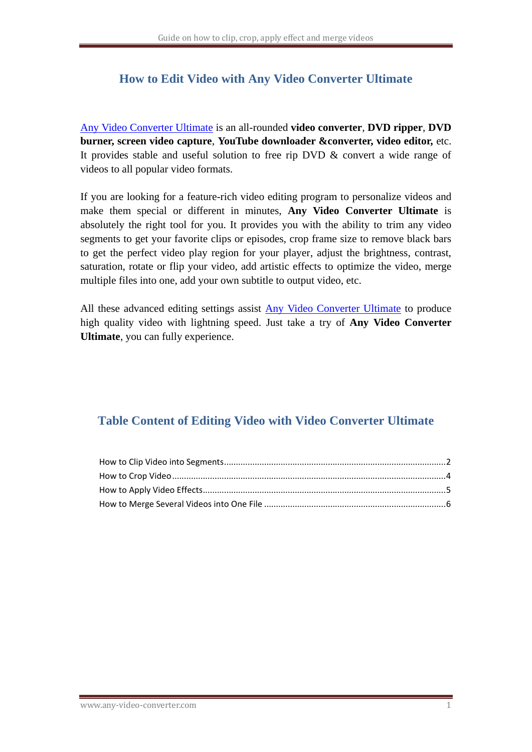### **How to Edit Video with Any Video Converter Ultimate**

[Any Video Converter Ultimate](http://www.any-video-converter.com/products/for_video_ultimate/) is an all-rounded **video converter**, **DVD ripper**, **DVD burner, screen video capture**, **YouTube downloader &converter, video editor,** etc. It provides stable and useful solution to free rip DVD & convert a wide range of videos to all popular video formats.

If you are looking for a feature-rich video editing program to personalize videos and make them special or different in minutes, **Any Video Converter Ultimate** is absolutely the right tool for you. It provides you with the ability to trim any video segments to get your favorite clips or episodes, crop frame size to remove black bars to get the perfect video play region for your player, adjust the brightness, contrast, saturation, rotate or flip your video, add artistic effects to optimize the video, merge multiple files into one, add your own subtitle to output video, etc.

All these advanced editing settings assist [Any Video Converter Ultimate](http://www.any-video-converter.com/products/for_video_ultimate/) to produce high quality video with lightning speed. Just take a try of **Any Video Converter Ultimate**, you can fully experience.

## **Table Content of Editing Video with Video Converter Ultimate**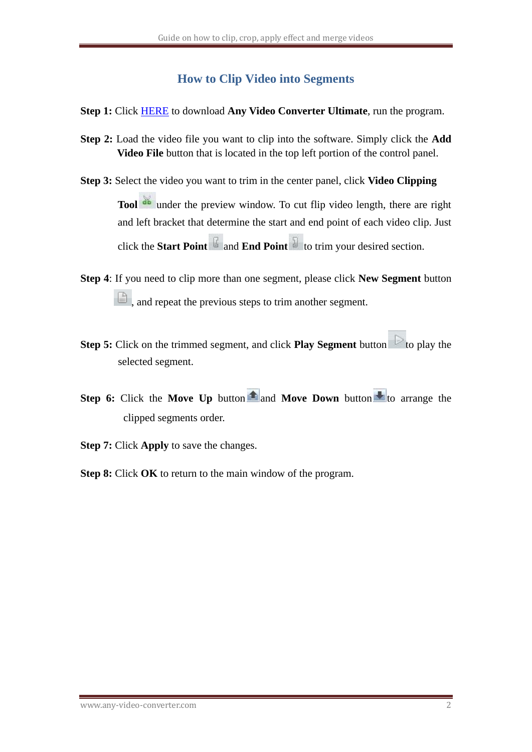### **How to Clip Video into Segments**

- <span id="page-1-0"></span>**Step 1:** Click [HERE](http://www.any-video-converter.com/avc-ultimate.exe) to download **Any Video Converter Ultimate**, run the program.
- **Step 2:** Load the video file you want to clip into the software. Simply click the **Add Video File** button that is located in the top left portion of the control panel.
- **Step 3:** Select the video you want to trim in the center panel, click **Video Clipping Tool d** under the preview window. To cut flip video length, there are right and left bracket that determine the start and end point of each video clip. Just click the **Start Point**  $\mathbb{F}$  and **End Point**  $\mathbb{F}$  to trim your desired section.
- **Step 4**: If you need to clip more than one segment, please click **New Segment** button  $\Box$ , and repeat the previous steps to trim another segment.
- **Step 5:** Click on the trimmed segment, and click **Play Segment** button to play the selected segment.
- **Step 6:** Click the **Move Up** button **th** and **Move Down** button to arrange the clipped segments order.
- **Step 7:** Click **Apply** to save the changes.
- **Step 8:** Click **OK** to return to the main window of the program.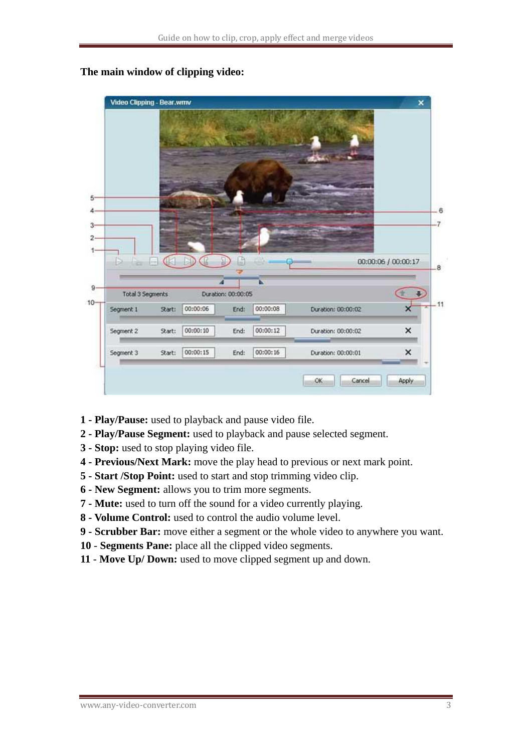

#### **The main window of clipping video:**

- **1 - Play/Pause:** used to playback and pause video file.
- **2 - Play/Pause Segment:** used to playback and pause selected segment.
- **3 - Stop:** used to stop playing video file.
- **4 - Previous/Next Mark:** move the play head to previous or next mark point.
- **5 - Start /Stop Point:** used to start and stop trimming video clip.
- **6 - New Segment:** allows you to trim more segments.
- **7 - Mute:** used to turn off the sound for a video currently playing.
- **8 - Volume Control:** used to control the audio volume level.
- **9 - Scrubber Bar:** move either a segment or the whole video to anywhere you want.
- **10 Segments Pane:** place all the clipped video segments.
- **11 Move Up/ Down:** used to move clipped segment up and down.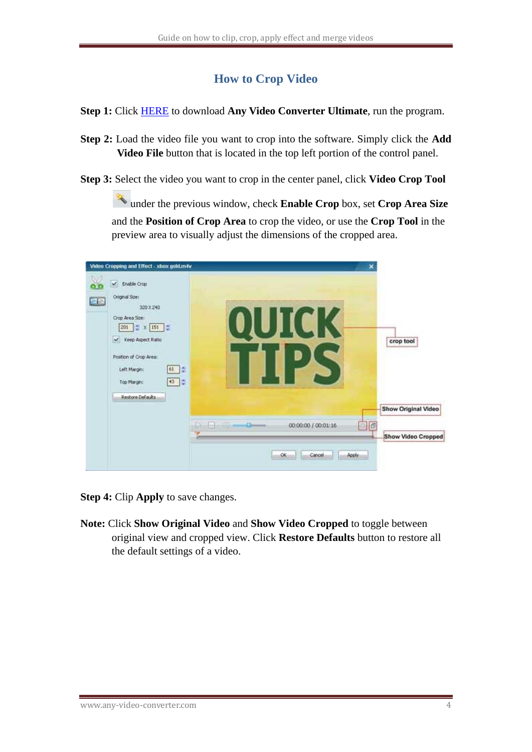## **How to Crop Video**

<span id="page-3-0"></span>**Step 1:** Click [HERE](http://www.any-video-converter.com/avc-ultimate.exe) to download **Any Video Converter Ultimate**, run the program.

- **Step 2:** Load the video file you want to crop into the software. Simply click the **Add Video File** button that is located in the top left portion of the control panel.
- **Step 3:** Select the video you want to crop in the center panel, click **Video Crop Tool**

under the previous window, check **Enable Crop** box, set **Crop Area Size** and the **Position of Crop Area** to crop the video, or use the **Crop Tool** in the preview area to visually adjust the dimensions of the cropped area.



**Step 4:** Clip **Apply** to save changes.

**Note:** Click **Show Original Video** and **Show Video Cropped** to toggle between original view and cropped view. Click **Restore Defaults** button to restore all the default settings of a video.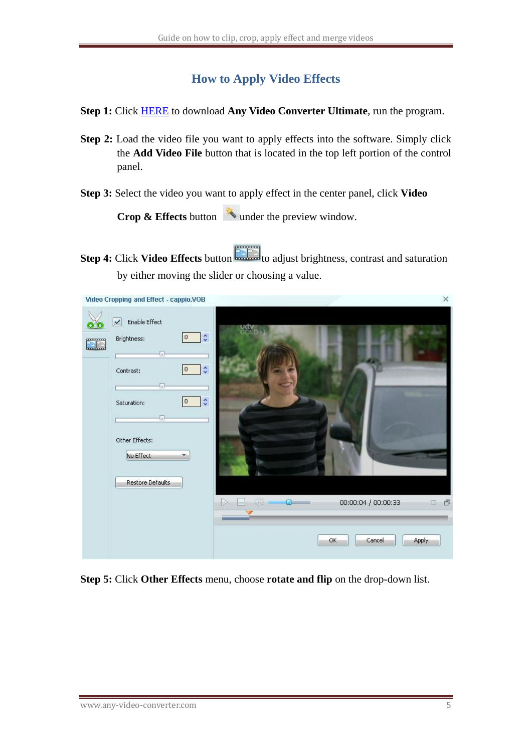### **How to Apply Video Effects**

- <span id="page-4-0"></span>**Step 1:** Click [HERE](http://www.any-video-converter.com/avc-ultimate.exe) to download **Any Video Converter Ultimate**, run the program.
- **Step 2:** Load the video file you want to apply effects into the software. Simply click the **Add Video File** button that is located in the top left portion of the control panel.
- **Step 3:** Select the video you want to apply effect in the center panel, click **Video**

**Crop & Effects** button window.

**Step 4:** Click **Video Effects** button **the step 4:** Click **Video Effects** button to adjust brightness, contrast and saturation by either moving the slider or choosing a value.

|    | Video Cropping and Effect - cappio.VOB                                                                                                                           |                                                                                                | ×                                                                                                                                                                                                                                                                                                                                                                                                                                                                                 |
|----|------------------------------------------------------------------------------------------------------------------------------------------------------------------|------------------------------------------------------------------------------------------------|-----------------------------------------------------------------------------------------------------------------------------------------------------------------------------------------------------------------------------------------------------------------------------------------------------------------------------------------------------------------------------------------------------------------------------------------------------------------------------------|
| EE | Enable Effect<br>$\checkmark$<br>Brightness:<br>$\overline{\mathbb{G}}$<br>Contrast:<br>Ū<br>Saturation:<br>O<br>Other Effects:<br>No Effect<br>Restore Defaults | $\ddot{\bullet}$<br>0<br>$\ddot{\phantom{0}}$<br>$\overline{0}$<br>$\ddot{\bullet}$<br>0<br>×. |                                                                                                                                                                                                                                                                                                                                                                                                                                                                                   |
|    |                                                                                                                                                                  |                                                                                                | $\begin{picture}(20,20) \put(0,0){\dashbox{0.5}(5,0){ }} \put(15,0){\circle{1}} \put(25,0){\circle{1}} \put(25,0){\circle{1}} \put(25,0){\circle{1}} \put(25,0){\circle{1}} \put(25,0){\circle{1}} \put(25,0){\circle{1}} \put(25,0){\circle{1}} \put(25,0){\circle{1}} \put(25,0){\circle{1}} \put(25,0){\circle{1}} \put(25,0){\circle{1}} \put(25,0){\circle{1}} \put(25,0){\circle{1}} \put(25,0$<br>00:00:04 / 00:00:33<br>$\Box$<br>$\Box$ $\Box$<br>OK.<br>Cancel<br>Apply |

**Step 5:** Click **Other Effects** menu, choose **rotate and flip** on the drop-down list.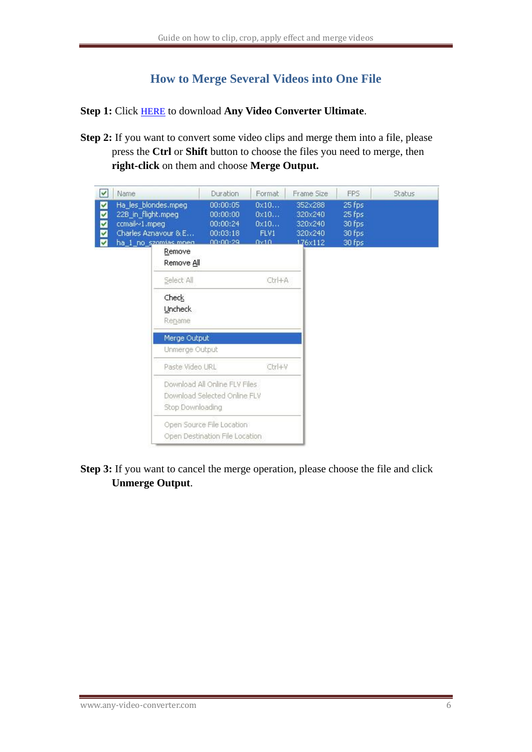# **How to Merge Several Videos into One File**

<span id="page-5-0"></span>**Step 1:** Click [HERE](http://www.any-video-converter.com/avc-ultimate.exe) to download **Any Video Converter Ultimate**.

**Step 2:** If you want to convert some video clips and merge them into a file, please press the **Ctrl** or **Shift** button to choose the files you need to merge, then **right-click** on them and choose **Merge Output.**

| V                     | Name                                                                                                        | Duration                                                      | Format                                        | Frame Size                                          | FPS                                            | Status |
|-----------------------|-------------------------------------------------------------------------------------------------------------|---------------------------------------------------------------|-----------------------------------------------|-----------------------------------------------------|------------------------------------------------|--------|
| M<br>M<br>Ø<br>M<br>☑ | Ha_les_blondes.mpeg<br>22B_in_flight.mpeg<br>ccmail~1.mpeg<br>Charles Aznavour & E<br>ha_1_no_szomias.mneg. | 00:00:05<br>00:00:00<br>00:00:24<br>00:03:18<br>00:00:29      | 0x10<br>$0 \times 10$<br>0x10<br>FLV1<br>0x10 | 352×288<br>320×240<br>320×240<br>320×240<br>176×112 | 25 fps<br>25 fps<br>30 fps<br>30 fps<br>30 fps |        |
|                       | Remove<br>Remove All                                                                                        |                                                               |                                               |                                                     |                                                |        |
|                       | Select All                                                                                                  |                                                               | Ctrl+A                                        |                                                     |                                                |        |
|                       | Check<br><b>Uncheck</b><br>Rename                                                                           |                                                               |                                               |                                                     |                                                |        |
|                       | Merge Output<br>Unmerge Output                                                                              |                                                               |                                               |                                                     |                                                |        |
|                       | Paste Video URL                                                                                             |                                                               | Ctrl+V                                        |                                                     |                                                |        |
|                       | Stop Downloading                                                                                            | Download All Online FLV Files<br>Download Selected Online FLV |                                               |                                                     |                                                |        |
|                       |                                                                                                             | Open Source File Location<br>Open Destination File Location   |                                               |                                                     |                                                |        |

**Step 3:** If you want to cancel the merge operation, please choose the file and click **Unmerge Output**.